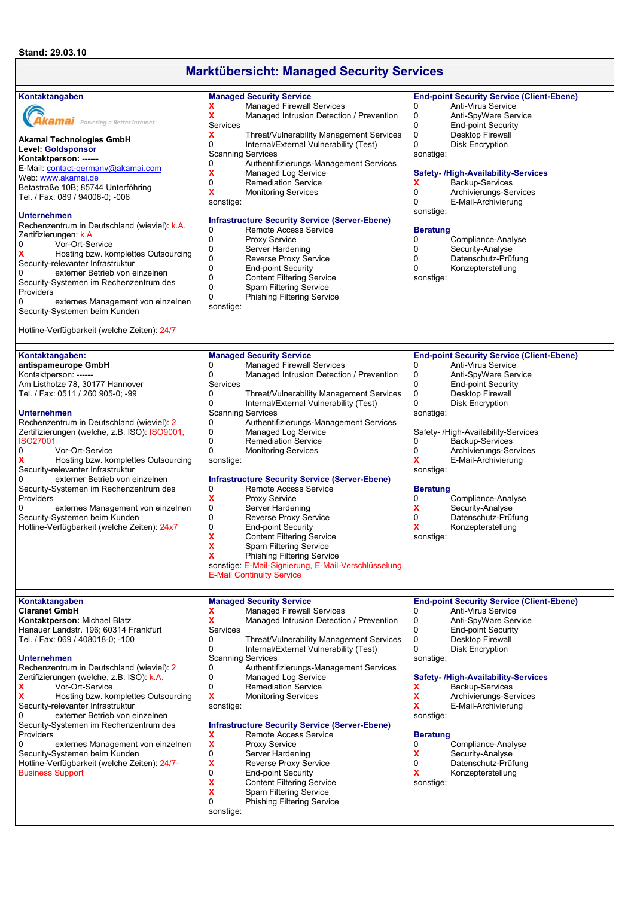## **Marktübersicht: Managed Security Services**

| Kontaktangaben<br>kamai Powering a Better Internet<br>Akamai Technologies GmbH<br><b>Level: Goldsponsor</b><br>Kontaktperson: ------<br>E-Mail: contact-germany@akamai.com<br>Web www.akamai.de<br>Betastraße 10B; 85744 Unterföhring<br>Tel. / Fax: 089 / 94006-0; -006<br><b>Unternehmen</b><br>Rechenzentrum in Deutschland (wieviel): k.A.<br>Zertifizierungen: k.A<br>0<br>Vor-Ort-Service<br>x<br>Hosting bzw. komplettes Outsourcing<br>Security-relevanter Infrastruktur<br>externer Betrieb von einzelnen<br>Security-Systemen im Rechenzentrum des<br>Providers<br>0<br>externes Management von einzelnen<br>Security-Systemen beim Kunden<br>Hotline-Verfügbarkeit (welche Zeiten): 24/7 | <b>Managed Security Service</b><br><b>Managed Firewall Services</b><br>x<br>X<br>Managed Intrusion Detection / Prevention<br>Services<br>x<br>Threat/Vulnerability Management Services<br>0<br>Internal/External Vulnerability (Test)<br><b>Scanning Services</b><br>0<br>Authentifizierungs-Management Services<br>X<br>Managed Log Service<br>0<br><b>Remediation Service</b><br>x<br><b>Monitoring Services</b><br>sonstige:<br><b>Infrastructure Security Service (Server-Ebene)</b><br>0<br>Remote Access Service<br>0<br><b>Proxy Service</b><br>0<br>Server Hardening<br>$\mathbf 0$<br>Reverse Proxy Service<br>$\mathbf 0$<br><b>End-point Security</b><br>$\mathbf 0$<br><b>Content Filtering Service</b><br>$\mathbf 0$<br><b>Spam Filtering Service</b><br>0<br><b>Phishing Filtering Service</b><br>sonstige:                                                            | <b>End-point Security Service (Client-Ebene)</b><br>0<br>Anti-Virus Service<br>0<br>Anti-SpyWare Service<br>0<br><b>End-point Security</b><br>$\mathbf 0$<br><b>Desktop Firewall</b><br>$\mathbf 0$<br><b>Disk Encryption</b><br>sonstige:<br><b>Safety-/High-Availability-Services</b><br>x<br>Backup-Services<br>0<br>Archivierungs-Services<br>0<br>E-Mail-Archivierung<br>sonstige:<br><b>Beratung</b><br>0<br>Compliance-Analyse<br>0<br>Security-Analyse<br>0<br>Datenschutz-Prüfung<br>0<br>Konzepterstellung<br>sonstige:                     |
|-----------------------------------------------------------------------------------------------------------------------------------------------------------------------------------------------------------------------------------------------------------------------------------------------------------------------------------------------------------------------------------------------------------------------------------------------------------------------------------------------------------------------------------------------------------------------------------------------------------------------------------------------------------------------------------------------------|---------------------------------------------------------------------------------------------------------------------------------------------------------------------------------------------------------------------------------------------------------------------------------------------------------------------------------------------------------------------------------------------------------------------------------------------------------------------------------------------------------------------------------------------------------------------------------------------------------------------------------------------------------------------------------------------------------------------------------------------------------------------------------------------------------------------------------------------------------------------------------------|-------------------------------------------------------------------------------------------------------------------------------------------------------------------------------------------------------------------------------------------------------------------------------------------------------------------------------------------------------------------------------------------------------------------------------------------------------------------------------------------------------------------------------------------------------|
| Kontaktangaben:<br>antispameurope GmbH<br>Kontaktperson: ------<br>Am Listholze 78, 30177 Hannover<br>Tel. / Fax: 0511 / 260 905-0; -99<br><b>Unternehmen</b><br>Rechenzentrum in Deutschland (wieviel): 2<br>Zertifizierungen (welche, z.B. ISO): ISO9001,<br><b>ISO27001</b><br>0<br>Vor-Ort-Service<br>Hosting bzw. komplettes Outsourcing<br>Security-relevanter Infrastruktur<br>externer Betrieb von einzelnen<br>Security-Systemen im Rechenzentrum des<br>Providers<br>0<br>externes Management von einzelnen<br>Security-Systemen beim Kunden<br>Hotline-Verfügbarkeit (welche Zeiten): 24x7                                                                                               | <b>Managed Security Service</b><br>0<br><b>Managed Firewall Services</b><br>0<br>Managed Intrusion Detection / Prevention<br>Services<br>0<br>Threat/Vulnerability Management Services<br>0<br>Internal/External Vulnerability (Test)<br><b>Scanning Services</b><br>Authentifizierungs-Management Services<br>0<br>0<br>Managed Log Service<br>0<br><b>Remediation Service</b><br>0<br><b>Monitoring Services</b><br>sonstige:<br><b>Infrastructure Security Service (Server-Ebene)</b><br>0<br>Remote Access Service<br>X<br><b>Proxy Service</b><br>0<br>Server Hardening<br>$\mathbf 0$<br><b>Reverse Proxy Service</b><br>0<br><b>End-point Security</b><br>X<br><b>Content Filtering Service</b><br>X<br>Spam Filtering Service<br>$\mathbf x$<br><b>Phishing Filtering Service</b><br>sonstige: E-Mail-Signierung, E-Mail-Verschlüsselung,<br><b>E-Mail Continuity Service</b> | <b>End-point Security Service (Client-Ebene)</b><br>0<br>Anti-Virus Service<br>Anti-SpyWare Service<br>0<br>$\mathbf 0$<br><b>End-point Security</b><br>0<br><b>Desktop Firewall</b><br>0<br><b>Disk Encryption</b><br>sonstige:<br>Safety- /High-Availability-Services<br>0<br>Backup-Services<br>0<br>Archivierungs-Services<br>x<br>E-Mail-Archivierung<br>sonstige:<br><b>Beratung</b><br>0<br>Compliance-Analyse<br>X<br>Security-Analyse<br>$\mathbf 0$<br>Datenschutz-Prüfung<br>x<br>Konzepterstellung<br>sonstige:                           |
| Kontaktangaben<br><b>Claranet GmbH</b><br>Kontaktperson: Michael Blatz<br>Hanauer Landstr. 196; 60314 Frankfurt<br>Tel. / Fax: 069 / 408018-0; -100<br><b>Unternehmen</b><br>Rechenzentrum in Deutschland (wieviel): 2<br>Zertifizierungen (welche, z.B. ISO): k.A.<br>x<br>Vor-Ort-Service<br>Hosting bzw. komplettes Outsourcing<br>х<br>Security-relevanter Infrastruktur<br>externer Betrieb von einzelnen<br>Security-Systemen im Rechenzentrum des<br>Providers<br>0<br>externes Management von einzelnen<br>Security-Systemen beim Kunden<br>Hotline-Verfügbarkeit (welche Zeiten): 24/7-<br><b>Business Support</b>                                                                         | <b>Managed Security Service</b><br><b>Managed Firewall Services</b><br>x<br>X<br>Managed Intrusion Detection / Prevention<br>Services<br>0<br>Threat/Vulnerability Management Services<br>0<br>Internal/External Vulnerability (Test)<br><b>Scanning Services</b><br>0<br>Authentifizierungs-Management Services<br>0<br>Managed Log Service<br>0<br><b>Remediation Service</b><br>X<br><b>Monitoring Services</b><br>sonstige:<br><b>Infrastructure Security Service (Server-Ebene)</b><br>Remote Access Service<br>X<br>$\boldsymbol{\mathsf{x}}$<br><b>Proxy Service</b><br>0<br>Server Hardening<br>X<br>Reverse Proxy Service<br>0<br><b>End-point Security</b><br>X<br><b>Content Filtering Service</b><br>X<br><b>Spam Filtering Service</b><br>$\Omega$<br><b>Phishing Filtering Service</b><br>sonstige:                                                                     | <b>End-point Security Service (Client-Ebene)</b><br>Anti-Virus Service<br>0<br>$\mathbf 0$<br>Anti-SpyWare Service<br>0<br><b>End-point Security</b><br>$\mathbf 0$<br>Desktop Firewall<br>$\mathbf 0$<br>Disk Encryption<br>sonstige:<br><b>Safety-/High-Availability-Services</b><br>x<br>Backup-Services<br>$\boldsymbol{\mathsf{x}}$<br>Archivierungs-Services<br>X<br>E-Mail-Archivierung<br>sonstige:<br><b>Beratung</b><br>0<br>Compliance-Analyse<br>X<br>Security-Analyse<br>0<br>Datenschutz-Prüfung<br>x<br>Konzepterstellung<br>sonstige: |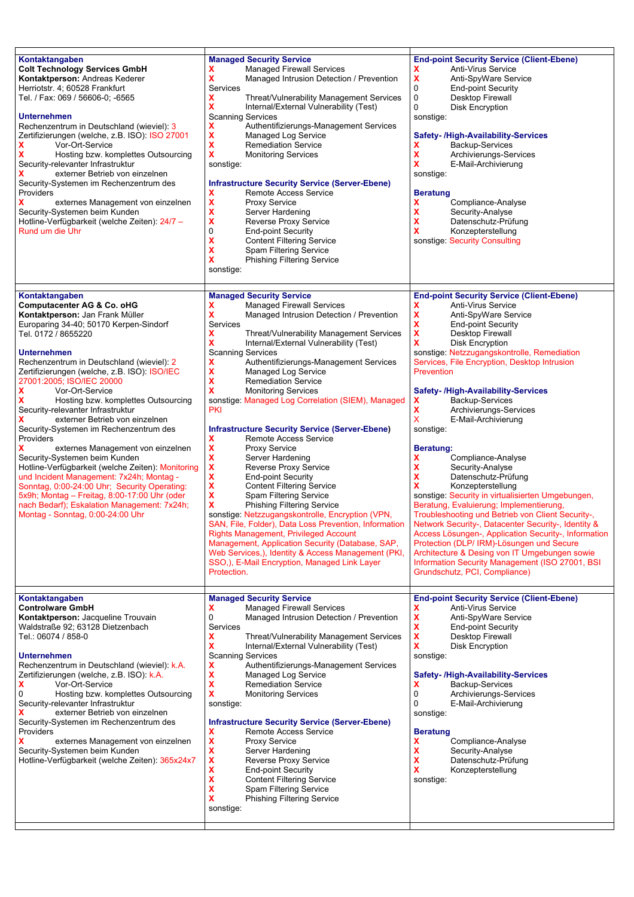| Kontaktangaben<br><b>Colt Technology Services GmbH</b><br>Kontaktperson: Andreas Kederer<br>Herriotstr. 4; 60528 Frankfurt<br>Tel. / Fax: 069 / 56606-0; -6565<br><b>Unternehmen</b><br>Rechenzentrum in Deutschland (wieviel): 3<br>Zertifizierungen (welche, z.B. ISO): ISO 27001<br>x<br>Vor-Ort-Service<br>x<br>Hosting bzw. komplettes Outsourcing<br>Security-relevanter Infrastruktur<br>externer Betrieb von einzelnen<br>Security-Systemen im Rechenzentrum des<br>Providers<br>x<br>externes Management von einzelnen<br>Security-Systemen beim Kunden<br>Hotline-Verfügbarkeit (welche Zeiten): 24/7 -<br>Rund um die Uhr                                                                                                                                                                                                                         | <b>Managed Security Service</b><br><b>Managed Firewall Services</b><br>X<br>Managed Intrusion Detection / Prevention<br>Services<br>Threat/Vulnerability Management Services<br>х<br>x<br>Internal/External Vulnerability (Test)<br><b>Scanning Services</b><br>Authentifizierungs-Management Services<br>x<br>x<br>Managed Log Service<br>χ<br><b>Remediation Service</b><br>χ<br><b>Monitoring Services</b><br>sonstige:<br><b>Infrastructure Security Service (Server-Ebene)</b><br>Remote Access Service<br>х<br>X<br><b>Proxy Service</b><br>x<br>Server Hardening<br>X<br>Reverse Proxy Service<br>0<br><b>End-point Security</b><br>x<br><b>Content Filtering Service</b><br>X<br>Spam Filtering Service<br>x<br><b>Phishing Filtering Service</b><br>sonstige:                                                                                                                                                                                                                                                                                                                                                                              | <b>End-point Security Service (Client-Ebene)</b><br><b>Anti-Virus Service</b><br>x<br>x<br>Anti-SpyWare Service<br>0<br><b>End-point Security</b><br>0<br>Desktop Firewall<br>0<br><b>Disk Encryption</b><br>sonstige:<br><b>Safety-/High-Availability-Services</b><br>Backup-Services<br>x<br>x<br>Archivierungs-Services<br>x<br>E-Mail-Archivierung<br>sonstige:<br><b>Beratung</b><br>Compliance-Analyse<br>x<br>x<br>Security-Analyse<br>x<br>Datenschutz-Prüfung<br>x<br>Konzepterstellung<br>sonstige: Security Consulting                                                                                                                                                                                                                                                                                                                                                                                                                                                                                                         |
|--------------------------------------------------------------------------------------------------------------------------------------------------------------------------------------------------------------------------------------------------------------------------------------------------------------------------------------------------------------------------------------------------------------------------------------------------------------------------------------------------------------------------------------------------------------------------------------------------------------------------------------------------------------------------------------------------------------------------------------------------------------------------------------------------------------------------------------------------------------|-----------------------------------------------------------------------------------------------------------------------------------------------------------------------------------------------------------------------------------------------------------------------------------------------------------------------------------------------------------------------------------------------------------------------------------------------------------------------------------------------------------------------------------------------------------------------------------------------------------------------------------------------------------------------------------------------------------------------------------------------------------------------------------------------------------------------------------------------------------------------------------------------------------------------------------------------------------------------------------------------------------------------------------------------------------------------------------------------------------------------------------------------------|-------------------------------------------------------------------------------------------------------------------------------------------------------------------------------------------------------------------------------------------------------------------------------------------------------------------------------------------------------------------------------------------------------------------------------------------------------------------------------------------------------------------------------------------------------------------------------------------------------------------------------------------------------------------------------------------------------------------------------------------------------------------------------------------------------------------------------------------------------------------------------------------------------------------------------------------------------------------------------------------------------------------------------------------|
| Kontaktangaben<br>Computacenter AG & Co. oHG<br>Kontaktperson: Jan Frank Müller<br>Europaring 34-40; 50170 Kerpen-Sindorf<br>Tel. 0172 / 8655220<br><b>Unternehmen</b><br>Rechenzentrum in Deutschland (wieviel): 2<br>Zertifizierungen (welche, z.B. ISO): ISO/IEC<br>27001:2005; ISO/IEC 20000<br>х<br>Vor-Ort-Service<br>Hosting bzw. komplettes Outsourcing<br>Security-relevanter Infrastruktur<br>externer Betrieb von einzelnen<br>Security-Systemen im Rechenzentrum des<br>Providers<br>x<br>externes Management von einzelnen<br>Security-Systemen beim Kunden<br>Hotline-Verfügbarkeit (welche Zeiten): Monitoring<br>und Incident Management: 7x24h; Montag -<br>Sonntag, 0:00-24:00 Uhr; Security Operating:<br>5x9h; Montag - Freitag, 8:00-17:00 Uhr (oder<br>nach Bedarf); Eskalation Management: 7x24h;<br>Montag - Sonntag, 0:00-24:00 Uhr | <b>Managed Security Service</b><br><b>Managed Firewall Services</b><br>х<br>x<br>Managed Intrusion Detection / Prevention<br>Services<br>x<br>Threat/Vulnerability Management Services<br>x<br>Internal/External Vulnerability (Test)<br><b>Scanning Services</b><br>χ<br>Authentifizierungs-Management Services<br>x<br>Managed Log Service<br>X<br><b>Remediation Service</b><br>χ<br><b>Monitoring Services</b><br>sonstige: Managed Log Correlation (SIEM), Managed<br>PKI<br><b>Infrastructure Security Service (Server-Ebene)</b><br>x<br>Remote Access Service<br>x<br><b>Proxy Service</b><br>X<br>Server Hardening<br>x<br>Reverse Proxy Service<br>X<br><b>End-point Security</b><br>x<br><b>Content Filtering Service</b><br>x<br>Spam Filtering Service<br>X<br><b>Phishing Filtering Service</b><br>sonstige: Netzzugangskontrolle, Encryption (VPN,<br>SAN, File, Folder), Data Loss Prevention, Information<br><b>Rights Management, Privileged Account</b><br>Management, Application Security (Database, SAP,<br>Web Services,), Identity & Access Management (PKI,<br>SSO,), E-Mail Encryption, Managed Link Layer<br>Protection. | <b>End-point Security Service (Client-Ebene)</b><br>Anti-Virus Service<br>x<br>x<br>Anti-SpyWare Service<br>χ<br><b>End-point Security</b><br>x<br>Desktop Firewall<br>x<br><b>Disk Encryption</b><br>sonstige: Netzzugangskontrolle, Remediation<br>Services, File Encryption, Desktop Intrusion<br>Prevention<br><b>Safety-/High-Availability-Services</b><br>Backup-Services<br>x<br>x<br>Archivierungs-Services<br>x<br>E-Mail-Archivierung<br>sonstige:<br>Beratung:<br>Compliance-Analyse<br>x<br>x<br>Security-Analyse<br>χ<br>Datenschutz-Prüfung<br>x<br>Konzepterstellung<br>sonstige: Security in virtualisierten Umgebungen,<br>Beratung, Evaluierung; Implementierung,<br>Troubleshooting und Betrieb von Client Security-,<br>Network Security-, Datacenter Security-, Identity &<br>Access Lösungen-, Application Security-, Information<br>Protection (DLP/ IRM)-Lösungen und Secure<br>Architecture & Desing von IT Umgebungen sowie<br>Information Security Management (ISO 27001, BSI<br>Grundschutz, PCI, Compliance) |
| Kontaktangaben<br><b>Controlware GmbH</b><br>Kontaktperson: Jacqueline Trouvain<br>Waldstraße 92; 63128 Dietzenbach<br>Tel.: 06074 / 858-0<br><b>Unternehmen</b><br>Rechenzentrum in Deutschland (wieviel): k.A.<br>Zertifizierungen (welche, z.B. ISO): k.A.<br>x<br>Vor-Ort-Service<br>Hosting bzw. komplettes Outsourcing<br>0<br>Security-relevanter Infrastruktur<br>externer Betrieb von einzelnen<br>Security-Systemen im Rechenzentrum des<br>Providers<br>externes Management von einzelnen<br>Security-Systemen beim Kunden<br>Hotline-Verfügbarkeit (welche Zeiten): 365x24x7                                                                                                                                                                                                                                                                     | <b>Managed Security Service</b><br><b>Managed Firewall Services</b><br>х<br>0<br>Managed Intrusion Detection / Prevention<br>Services<br>Threat/Vulnerability Management Services<br>x<br>x<br>Internal/External Vulnerability (Test)<br><b>Scanning Services</b><br>Authentifizierungs-Management Services<br>x<br>x<br><b>Managed Log Service</b><br>X<br><b>Remediation Service</b><br>x<br><b>Monitoring Services</b><br>sonstige:<br><b>Infrastructure Security Service (Server-Ebene)</b><br><b>Remote Access Service</b><br>x<br>x<br>Proxy Service<br>x<br>Server Hardening<br>X<br>Reverse Proxy Service<br>x<br><b>End-point Security</b><br>X<br><b>Content Filtering Service</b><br>χ<br><b>Spam Filtering Service</b><br>χ<br><b>Phishing Filtering Service</b><br>sonstige:                                                                                                                                                                                                                                                                                                                                                           | <b>End-point Security Service (Client-Ebene)</b><br>Anti-Virus Service<br>x<br>x<br>Anti-SpyWare Service<br>χ<br><b>End-point Security</b><br>x<br>Desktop Firewall<br>x<br>Disk Encryption<br>sonstige:<br>Safety- /High-Availability-Services<br>Backup-Services<br>x<br>0<br>Archivierungs-Services<br>0<br>E-Mail-Archivierung<br>sonstige:<br><b>Beratung</b><br>x<br>Compliance-Analyse<br>x<br>Security-Analyse<br>x<br>Datenschutz-Prüfung<br>x<br>Konzepterstellung<br>sonstige:                                                                                                                                                                                                                                                                                                                                                                                                                                                                                                                                                 |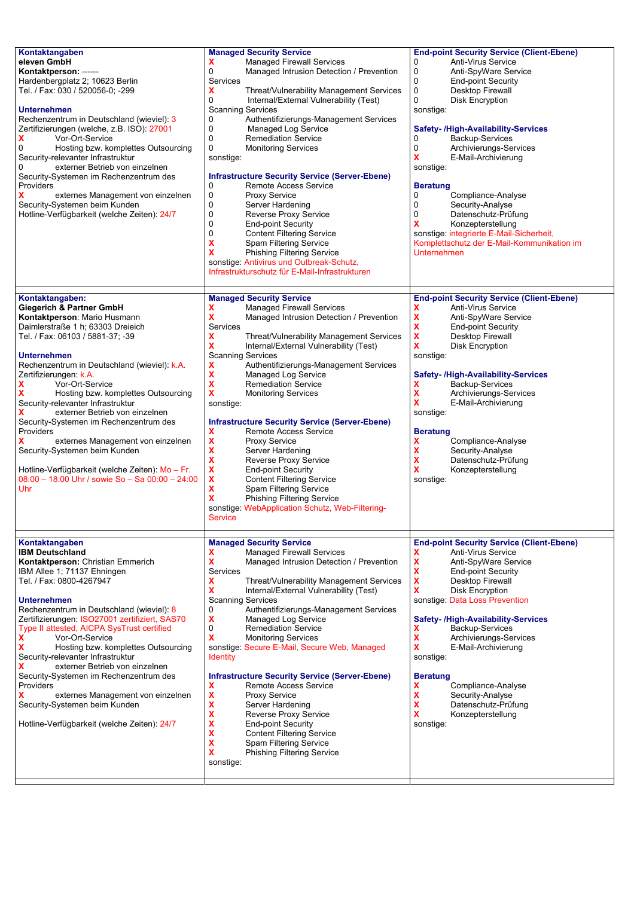| Kontaktangaben<br>eleven GmbH<br>Kontaktperson: ------<br>Hardenbergplatz 2; 10623 Berlin<br>Tel. / Fax: 030 / 520056-0; -299<br><b>Unternehmen</b><br>Rechenzentrum in Deutschland (wieviel): 3<br>Zertifizierungen (welche, z.B. ISO): 27001<br>x<br>Vor-Ort-Service<br>0<br>Hosting bzw. komplettes Outsourcing<br>Security-relevanter Infrastruktur<br>externer Betrieb von einzelnen<br>Security-Systemen im Rechenzentrum des<br>Providers<br>x<br>externes Management von einzelnen<br>Security-Systemen beim Kunden<br>Hotline-Verfügbarkeit (welche Zeiten): 24/7                                                                                     | <b>Managed Security Service</b><br>x<br><b>Managed Firewall Services</b><br>0<br>Managed Intrusion Detection / Prevention<br>Services<br>X<br>Threat/Vulnerability Management Services<br>Internal/External Vulnerability (Test)<br>0<br><b>Scanning Services</b><br>0<br>Authentifizierungs-Management Services<br>0<br><b>Managed Log Service</b><br>0<br><b>Remediation Service</b><br>0<br><b>Monitoring Services</b><br>sonstige:<br><b>Infrastructure Security Service (Server-Ebene)</b><br>Remote Access Service<br>0<br>0<br>Proxy Service<br>0<br>Server Hardening<br>0<br><b>Reverse Proxy Service</b><br>0<br><b>End-point Security</b><br>0<br><b>Content Filtering Service</b><br>x<br>Spam Filtering Service<br>χ<br><b>Phishing Filtering Service</b><br>sonstige: Antivirus und Outbreak-Schutz,<br>Infrastrukturschutz für E-Mail-Infrastrukturen | <b>End-point Security Service (Client-Ebene)</b><br>Anti-Virus Service<br>0<br>0<br>Anti-SpyWare Service<br>0<br><b>End-point Security</b><br>0<br>Desktop Firewall<br>0<br><b>Disk Encryption</b><br>sonstige:<br>Safety- /High-Availability-Services<br>Backup-Services<br>0<br>0<br>Archivierungs-Services<br>x<br>E-Mail-Archivierung<br>sonstige:<br><b>Beratung</b><br>0<br>Compliance-Analyse<br>0<br>Security-Analyse<br>0<br>Datenschutz-Prüfung<br>x<br>Konzepterstellung<br>sonstige: integrierte E-Mail-Sicherheit,<br>Komplettschutz der E-Mail-Kommunikation im<br>Unternehmen |
|----------------------------------------------------------------------------------------------------------------------------------------------------------------------------------------------------------------------------------------------------------------------------------------------------------------------------------------------------------------------------------------------------------------------------------------------------------------------------------------------------------------------------------------------------------------------------------------------------------------------------------------------------------------|---------------------------------------------------------------------------------------------------------------------------------------------------------------------------------------------------------------------------------------------------------------------------------------------------------------------------------------------------------------------------------------------------------------------------------------------------------------------------------------------------------------------------------------------------------------------------------------------------------------------------------------------------------------------------------------------------------------------------------------------------------------------------------------------------------------------------------------------------------------------|----------------------------------------------------------------------------------------------------------------------------------------------------------------------------------------------------------------------------------------------------------------------------------------------------------------------------------------------------------------------------------------------------------------------------------------------------------------------------------------------------------------------------------------------------------------------------------------------|
| Kontaktangaben:<br><b>Giegerich &amp; Partner GmbH</b><br>Kontaktperson: Mario Husmann<br>Daimlerstraße 1 h; 63303 Dreieich<br>Tel. / Fax: 06103 / 5881-37; -39<br><b>Unternehmen</b><br>Rechenzentrum in Deutschland (wieviel): k.A.<br>Zertifizierungen: k.A.<br>x<br>Vor-Ort-Service<br>x<br>Hosting bzw. komplettes Outsourcing<br>Security-relevanter Infrastruktur<br>x<br>externer Betrieb von einzelnen<br>Security-Systemen im Rechenzentrum des<br>Providers<br>x<br>externes Management von einzelnen<br>Security-Systemen beim Kunden<br>Hotline-Verfügbarkeit (welche Zeiten): Mo - Fr.<br>08:00 - 18:00 Uhr / sowie So - Sa 00:00 - 24:00<br>Uhr | <b>Managed Security Service</b><br>x<br><b>Managed Firewall Services</b><br>X<br>Managed Intrusion Detection / Prevention<br>Services<br>x<br>Threat/Vulnerability Management Services<br>X<br>Internal/External Vulnerability (Test)<br><b>Scanning Services</b><br>X<br>Authentifizierungs-Management Services<br>X<br>Managed Log Service<br>X<br><b>Remediation Service</b><br>X<br><b>Monitoring Services</b><br>sonstige:<br><b>Infrastructure Security Service (Server-Ebene)</b><br>X<br>Remote Access Service<br>X<br><b>Proxy Service</b><br>X<br>Server Hardening<br>X<br>Reverse Proxy Service<br>X<br><b>End-point Security</b><br>x<br><b>Content Filtering Service</b><br>X<br>Spam Filtering Service<br>x<br><b>Phishing Filtering Service</b><br>sonstige: WebApplication Schutz, Web-Filtering-<br><b>Service</b>                                 | <b>End-point Security Service (Client-Ebene)</b><br>x<br><b>Anti-Virus Service</b><br>X<br>Anti-SpyWare Service<br>X<br><b>End-point Security</b><br>X<br>Desktop Firewall<br>x<br><b>Disk Encryption</b><br>sonstige:<br>Safety- /High-Availability-Services<br>x<br>Backup-Services<br>X<br>Archivierungs-Services<br>x<br>E-Mail-Archivierung<br>sonstige:<br><b>Beratung</b><br>χ<br>Compliance-Analyse<br>x<br>Security-Analyse<br>x<br>Datenschutz-Prüfung<br>x<br>Konzepterstellung<br>sonstige:                                                                                      |
| Kontaktangaben<br><b>IBM Deutschland</b><br>Kontaktperson: Christian Emmerich<br>IBM Allee 1; 71137 Ehningen<br>Tel. / Fax: 0800-4267947<br><b>Unternehmen</b><br>Rechenzentrum in Deutschland (wieviel): 8<br>Zertifizierungen: ISO27001 zertifiziert, SAS70<br>Type II attested, AICPA SysTrust certified<br>x<br>Vor-Ort-Service<br>x<br>Hosting bzw. komplettes Outsourcing<br>Security-relevanter Infrastruktur<br>externer Betrieb von einzelnen<br>Security-Systemen im Rechenzentrum des<br>Providers<br>x<br>externes Management von einzelnen<br>Security-Systemen beim Kunden<br>Hotline-Verfügbarkeit (welche Zeiten): 24/7                        | <b>Managed Security Service</b><br><b>Managed Firewall Services</b><br>x<br>x<br>Managed Intrusion Detection / Prevention<br>Services<br>Threat/Vulnerability Management Services<br>x<br>x<br>Internal/External Vulnerability (Test)<br><b>Scanning Services</b><br>Authentifizierungs-Management Services<br>0<br>x<br>Managed Log Service<br>0<br><b>Remediation Service</b><br>x<br><b>Monitoring Services</b><br>sonstige: Secure E-Mail, Secure Web, Managed<br><b>Identity</b><br><b>Infrastructure Security Service (Server-Ebene)</b><br>x<br>Remote Access Service<br>x<br><b>Proxy Service</b><br>x<br>Server Hardening<br>X<br><b>Reverse Proxy Service</b><br>x<br><b>End-point Security</b><br>x<br><b>Content Filtering Service</b><br>x<br>Spam Filtering Service<br><b>Phishing Filtering Service</b><br>x<br>sonstige:                            | <b>End-point Security Service (Client-Ebene)</b><br>Anti-Virus Service<br>x<br>X<br>Anti-SpyWare Service<br>X<br><b>End-point Security</b><br>x<br>Desktop Firewall<br>x<br><b>Disk Encryption</b><br>sonstige: Data Loss Prevention<br>Safety-/High-Availability-Services<br>Backup-Services<br>x<br>x<br>Archivierungs-Services<br>x<br>E-Mail-Archivierung<br>sonstige:<br><b>Beratung</b><br>x<br>Compliance-Analyse<br>x<br>Security-Analyse<br>x<br>Datenschutz-Prüfung<br>x<br>Konzepterstellung<br>sonstige:                                                                         |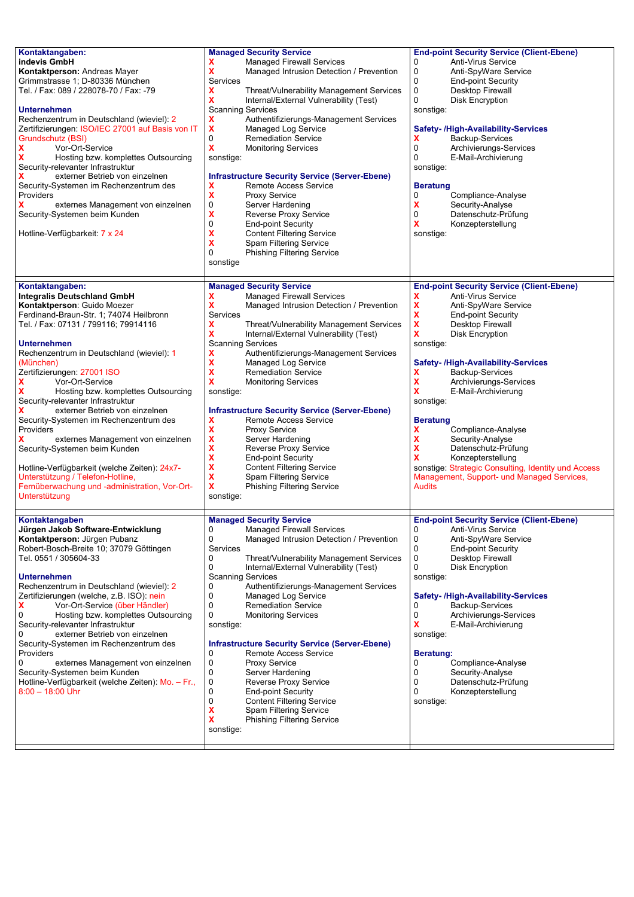| Kontaktangaben:<br>indevis GmbH<br>Kontaktperson: Andreas Mayer<br>Grimmstrasse 1; D-80336 München<br>Tel. / Fax: 089 / 228078-70 / Fax: -79<br><b>Unternehmen</b><br>Rechenzentrum in Deutschland (wieviel): 2<br>Zertifizierungen: ISO/IEC 27001 auf Basis von IT<br>Grundschutz (BSI)<br>x<br>Vor-Ort-Service<br>Hosting bzw. komplettes Outsourcing<br>Security-relevanter Infrastruktur<br>externer Betrieb von einzelnen<br>Security-Systemen im Rechenzentrum des<br>Providers<br>x<br>externes Management von einzelnen<br>Security-Systemen beim Kunden<br>Hotline-Verfügbarkeit: 7 x 24                                                                                                               | <b>Managed Security Service</b><br><b>Managed Firewall Services</b><br>Managed Intrusion Detection / Prevention<br>x<br>Services<br>Threat/Vulnerability Management Services<br>х<br>x<br>Internal/External Vulnerability (Test)<br><b>Scanning Services</b><br>x<br>Authentifizierungs-Management Services<br>x<br>Managed Log Service<br>0<br><b>Remediation Service</b><br>χ<br><b>Monitoring Services</b><br>sonstige:<br><b>Infrastructure Security Service (Server-Ebene)</b><br>Remote Access Service<br>x<br>χ<br><b>Proxy Service</b><br>0<br>Server Hardening<br>χ<br>Reverse Proxy Service<br>0<br><b>End-point Security</b><br>x<br><b>Content Filtering Service</b><br>x<br>Spam Filtering Service<br>0<br><b>Phishing Filtering Service</b><br>sonstige              | <b>End-point Security Service (Client-Ebene)</b><br>0<br>Anti-Virus Service<br>0<br>Anti-SpyWare Service<br>0<br><b>End-point Security</b><br>0<br>Desktop Firewall<br>0<br><b>Disk Encryption</b><br>sonstige:<br><b>Safety-/High-Availability-Services</b><br>x<br>Backup-Services<br>0<br>Archivierungs-Services<br>$\Omega$<br>E-Mail-Archivierung<br>sonstige:<br><b>Beratung</b><br>0<br>Compliance-Analyse<br>x<br>Security-Analyse<br>0<br>Datenschutz-Prüfung<br>x<br>Konzepterstellung<br>sonstige:                                                                                            |
|-----------------------------------------------------------------------------------------------------------------------------------------------------------------------------------------------------------------------------------------------------------------------------------------------------------------------------------------------------------------------------------------------------------------------------------------------------------------------------------------------------------------------------------------------------------------------------------------------------------------------------------------------------------------------------------------------------------------|------------------------------------------------------------------------------------------------------------------------------------------------------------------------------------------------------------------------------------------------------------------------------------------------------------------------------------------------------------------------------------------------------------------------------------------------------------------------------------------------------------------------------------------------------------------------------------------------------------------------------------------------------------------------------------------------------------------------------------------------------------------------------------|----------------------------------------------------------------------------------------------------------------------------------------------------------------------------------------------------------------------------------------------------------------------------------------------------------------------------------------------------------------------------------------------------------------------------------------------------------------------------------------------------------------------------------------------------------------------------------------------------------|
| Kontaktangaben:<br><b>Integralis Deutschland GmbH</b><br>Kontaktperson: Guido Moezer<br>Ferdinand-Braun-Str. 1; 74074 Heilbronn<br>Tel. / Fax: 07131 / 799116; 79914116<br><b>Unternehmen</b><br>Rechenzentrum in Deutschland (wieviel): 1<br>(München)<br>Zertifizierungen: 27001 ISO<br>x<br>Vor-Ort-Service<br>Hosting bzw. komplettes Outsourcing<br>Security-relevanter Infrastruktur<br>externer Betrieb von einzelnen<br>Security-Systemen im Rechenzentrum des<br>Providers<br>externes Management von einzelnen<br>Security-Systemen beim Kunden<br>Hotline-Verfügbarkeit (welche Zeiten): 24x7-<br>Unterstützung / Telefon-Hotline,<br>Fernüberwachung und -administration, Vor-Ort-<br>Unterstützung | <b>Managed Security Service</b><br>x<br><b>Managed Firewall Services</b><br>x<br>Managed Intrusion Detection / Prevention<br>Services<br>x<br>Threat/Vulnerability Management Services<br>x<br>Internal/External Vulnerability (Test)<br><b>Scanning Services</b><br>x<br>Authentifizierungs-Management Services<br>χ<br>Managed Log Service<br>x<br><b>Remediation Service</b><br>x<br><b>Monitoring Services</b><br>sonstige:<br><b>Infrastructure Security Service (Server-Ebene)</b><br>X<br>Remote Access Service<br>X<br><b>Proxy Service</b><br>X<br>Server Hardening<br>X<br>Reverse Proxy Service<br>χ<br><b>End-point Security</b><br>χ<br><b>Content Filtering Service</b><br>x<br><b>Spam Filtering Service</b><br>X<br><b>Phishing Filtering Service</b><br>sonstige: | <b>End-point Security Service (Client-Ebene)</b><br>x<br>Anti-Virus Service<br>X<br>Anti-SpyWare Service<br>X<br><b>End-point Security</b><br>X<br>Desktop Firewall<br>X<br><b>Disk Encryption</b><br>sonstige:<br><b>Safety-/High-Availability-Services</b><br>Backup-Services<br>x<br>X<br>Archivierungs-Services<br>x<br>E-Mail-Archivierung<br>sonstige:<br><b>Beratung</b><br>x<br>Compliance-Analyse<br>x<br>Security-Analyse<br>x<br>Datenschutz-Prüfung<br>x<br>Konzepterstellung<br>sonstige: Strategic Consulting, Identity und Access<br>Management, Support- und Managed Services,<br>Audits |
| Kontaktangaben<br>Jürgen Jakob Software-Entwicklung<br>Kontaktperson: Jürgen Pubanz<br>Robert-Bosch-Breite 10; 37079 Göttingen<br>Tel. 0551 / 305604-33<br><b>Unternehmen</b><br>Rechenzentrum in Deutschland (wieviel): 2<br>Zertifizierungen (welche, z.B. ISO): nein<br>x<br>Vor-Ort-Service (über Händler)<br>0<br>Hosting bzw. komplettes Outsourcing<br>Security-relevanter Infrastruktur<br>externer Betrieb von einzelnen<br>Security-Systemen im Rechenzentrum des<br>Providers<br>0<br>externes Management von einzelnen<br>Security-Systemen beim Kunden<br>Hotline-Verfügbarkeit (welche Zeiten): Mo. - Fr.,<br>$8:00 - 18:00$ Uhr                                                                  | <b>Managed Security Service</b><br>0<br><b>Managed Firewall Services</b><br>0<br>Managed Intrusion Detection / Prevention<br>Services<br>0<br>Threat/Vulnerability Management Services<br>0<br>Internal/External Vulnerability (Test)<br><b>Scanning Services</b><br>Authentifizierungs-Management Services<br>0<br>0<br>Managed Log Service<br><b>Remediation Service</b><br>0<br>0<br><b>Monitoring Services</b><br>sonstige:<br><b>Infrastructure Security Service (Server-Ebene)</b><br>Remote Access Service<br>0<br>0<br><b>Proxy Service</b><br>0<br>Server Hardening<br>0<br>Reverse Proxy Service<br>0<br><b>End-point Security</b><br>0<br><b>Content Filtering Service</b><br>x<br>Spam Filtering Service<br>x<br><b>Phishing Filtering Service</b><br>sonstige:        | <b>End-point Security Service (Client-Ebene)</b><br>0<br>Anti-Virus Service<br>0<br>Anti-SpyWare Service<br>0<br><b>End-point Security</b><br>0<br>Desktop Firewall<br>0<br><b>Disk Encryption</b><br>sonstige:<br><b>Safety-/High-Availability-Services</b><br>Backup-Services<br>0<br>0<br>Archivierungs-Services<br>x<br>E-Mail-Archivierung<br>sonstige:<br><b>Beratung:</b><br>Compliance-Analyse<br>0<br>0<br>Security-Analyse<br>0<br>Datenschutz-Prüfung<br>0<br>Konzepterstellung<br>sonstige:                                                                                                  |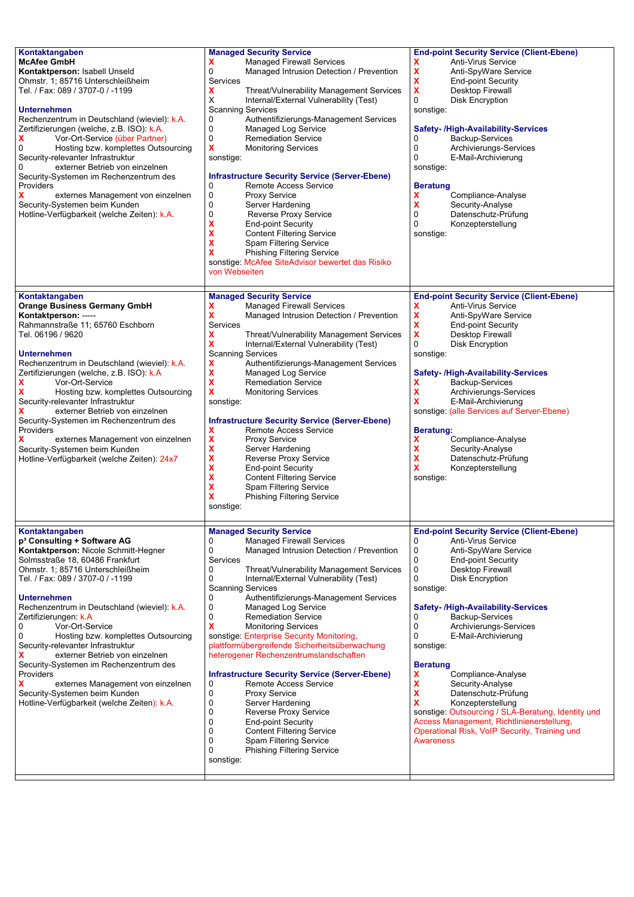| Kontaktangaben<br><b>McAfee GmbH</b><br>Kontaktperson: Isabell Unseld<br>Ohmstr. 1; 85716 Unterschleißheim<br>Tel. / Fax: 089 / 3707-0 / -1199<br><b>Unternehmen</b><br>Rechenzentrum in Deutschland (wieviel): k.A.<br>Zertifizierungen (welche, z.B. ISO): k.A.<br>x<br>Vor-Ort-Service (über Partner)<br>0<br>Hosting bzw. komplettes Outsourcing<br>Security-relevanter Infrastruktur<br>externer Betrieb von einzelnen<br>Security-Systemen im Rechenzentrum des<br>Providers<br>externes Management von einzelnen<br>Security-Systemen beim Kunden<br>Hotline-Verfügbarkeit (welche Zeiten): k.A.                                              | <b>Managed Security Service</b><br><b>Managed Firewall Services</b><br>0<br>Managed Intrusion Detection / Prevention<br>Services<br>x<br>Threat/Vulnerability Management Services<br>X<br>Internal/External Vulnerability (Test)<br><b>Scanning Services</b><br>0<br>Authentifizierungs-Management Services<br>0<br>Managed Log Service<br>0<br><b>Remediation Service</b><br>X<br><b>Monitoring Services</b><br>sonstige:<br><b>Infrastructure Security Service (Server-Ebene)</b><br><b>Remote Access Service</b><br>0<br>0<br><b>Proxy Service</b><br>0<br>Server Hardening<br>0<br><b>Reverse Proxy Service</b><br>X<br><b>End-point Security</b><br>x<br><b>Content Filtering Service</b><br>x<br>Spam Filtering Service<br>x<br><b>Phishing Filtering Service</b><br>sonstige: McAfee SiteAdvisor bewertet das Risiko<br>von Webseiten                                                           | <b>End-point Security Service (Client-Ebene)</b><br>Anti-Virus Service<br>x<br>x<br>Anti-SpyWare Service<br>X<br><b>End-point Security</b><br>X<br>Desktop Firewall<br>0<br><b>Disk Encryption</b><br>sonstige:<br><b>Safety-/High-Availability-Services</b><br>Backup-Services<br>0<br>0<br>Archivierungs-Services<br>0<br>E-Mail-Archivierung<br>sonstige:<br><b>Beratung</b><br>x<br>Compliance-Analyse<br>x<br>Security-Analyse<br>0<br>Datenschutz-Prüfung<br>0<br>Konzepterstellung<br>sonstige:                                                                                                                                              |
|------------------------------------------------------------------------------------------------------------------------------------------------------------------------------------------------------------------------------------------------------------------------------------------------------------------------------------------------------------------------------------------------------------------------------------------------------------------------------------------------------------------------------------------------------------------------------------------------------------------------------------------------------|--------------------------------------------------------------------------------------------------------------------------------------------------------------------------------------------------------------------------------------------------------------------------------------------------------------------------------------------------------------------------------------------------------------------------------------------------------------------------------------------------------------------------------------------------------------------------------------------------------------------------------------------------------------------------------------------------------------------------------------------------------------------------------------------------------------------------------------------------------------------------------------------------------|-----------------------------------------------------------------------------------------------------------------------------------------------------------------------------------------------------------------------------------------------------------------------------------------------------------------------------------------------------------------------------------------------------------------------------------------------------------------------------------------------------------------------------------------------------------------------------------------------------------------------------------------------------|
| Kontaktangaben<br><b>Orange Business Germany GmbH</b><br>Kontaktperson: -----<br>Rahmannstraße 11; 65760 Eschborn<br>Tel. 06196 / 9620<br><b>Unternehmen</b><br>Rechenzentrum in Deutschland (wieviel): k.A.<br>Zertifizierungen (welche, z.B. ISO): k.A<br>x<br>Vor-Ort-Service<br>x<br>Hosting bzw. komplettes Outsourcing<br>Security-relevanter Infrastruktur<br>externer Betrieb von einzelnen<br>Security-Systemen im Rechenzentrum des<br>Providers<br>x<br>externes Management von einzelnen<br>Security-Systemen beim Kunden<br>Hotline-Verfügbarkeit (welche Zeiten): 24x7                                                                 | <b>Managed Security Service</b><br><b>Managed Firewall Services</b><br>x<br>x<br>Managed Intrusion Detection / Prevention<br>Services<br>x<br>Threat/Vulnerability Management Services<br>X<br>Internal/External Vulnerability (Test)<br><b>Scanning Services</b><br>x<br>Authentifizierungs-Management Services<br>X<br><b>Managed Log Service</b><br>X<br><b>Remediation Service</b><br>x<br><b>Monitoring Services</b><br>sonstige:<br><b>Infrastructure Security Service (Server-Ebene)</b><br><b>Remote Access Service</b><br>X<br>$\boldsymbol{\mathsf{x}}$<br><b>Proxy Service</b><br>X<br>Server Hardening<br>X<br><b>Reverse Proxy Service</b><br>X<br><b>End-point Security</b><br>X<br><b>Content Filtering Service</b><br>X<br><b>Spam Filtering Service</b><br>x<br><b>Phishing Filtering Service</b><br>sonstige:                                                                        | <b>End-point Security Service (Client-Ebene)</b><br>Anti-Virus Service<br>x<br>X<br>Anti-SpyWare Service<br>x<br><b>End-point Security</b><br>χ<br><b>Desktop Firewall</b><br>0<br><b>Disk Encryption</b><br>sonstige:<br><b>Safety-/High-Availability-Services</b><br>Backup-Services<br>x<br>x<br>Archivierungs-Services<br>x<br>E-Mail-Archivierung<br>sonstige: (alle Services auf Server-Ebene)<br>Beratung:<br>Compliance-Analyse<br>x<br>x<br>Security-Analyse<br>x<br>Datenschutz-Prüfung<br>X<br>Konzepterstellung<br>sonstige:                                                                                                            |
| Kontaktangaben<br>p <sup>3</sup> Consulting + Software AG<br>Kontaktperson: Nicole Schmitt-Hegner<br>Solmsstraße 18, 60486 Frankfurt<br>Ohmstr. 1; 85716 Unterschleißheim<br>Tel. / Fax: 089 / 3707-0 / -1199<br><b>Unternehmen</b><br>Rechenzentrum in Deutschland (wieviel): k.A.<br>Zertifizierungen: k.A<br>0<br>Vor-Ort-Service<br>0<br>Hosting bzw. komplettes Outsourcing<br>Security-relevanter Infrastruktur<br>externer Betrieb von einzelnen<br>x<br>Security-Systemen im Rechenzentrum des<br><b>Providers</b><br>x<br>externes Management von einzelnen<br>Security-Systemen beim Kunden<br>Hotline-Verfügbarkeit (welche Zeiten): k.A. | <b>Managed Security Service</b><br><b>Managed Firewall Services</b><br>0<br>0<br>Managed Intrusion Detection / Prevention<br>Services<br>0<br>Threat/Vulnerability Management Services<br>0<br>Internal/External Vulnerability (Test)<br><b>Scanning Services</b><br>Authentifizierungs-Management Services<br>0<br>0<br>Managed Log Service<br>0<br><b>Remediation Service</b><br>x<br><b>Monitoring Services</b><br>sonstige: Enterprise Security Monitoring,<br>plattformübergreifende Sicherheitsüberwachung<br>heterogener Rechenzentrumslandschaften<br><b>Infrastructure Security Service (Server-Ebene)</b><br>0<br>Remote Access Service<br>0<br><b>Proxy Service</b><br>0<br>Server Hardening<br>0<br>Reverse Proxy Service<br>0<br><b>End-point Security</b><br><b>Content Filtering Service</b><br>0<br>0<br>Spam Filtering Service<br>0<br><b>Phishing Filtering Service</b><br>sonstige: | <b>End-point Security Service (Client-Ebene)</b><br>Anti-Virus Service<br>0<br>0<br>Anti-SpyWare Service<br>0<br><b>End-point Security</b><br>0<br>Desktop Firewall<br>0<br><b>Disk Encryption</b><br>sonstige:<br>Safety-/High-Availability-Services<br>Backup-Services<br>0<br>0<br>Archivierungs-Services<br>0<br>E-Mail-Archivierung<br>sonstige:<br><b>Beratung</b><br>Compliance-Analyse<br>x<br>x<br>Security-Analyse<br>X<br>Datenschutz-Prüfung<br>x<br>Konzepterstellung<br>sonstige: Outsourcing / SLA-Beratung, Identity und<br>Access Management, Richtlinienerstellung,<br>Operational Risk, VoIP Security, Training und<br>Awareness |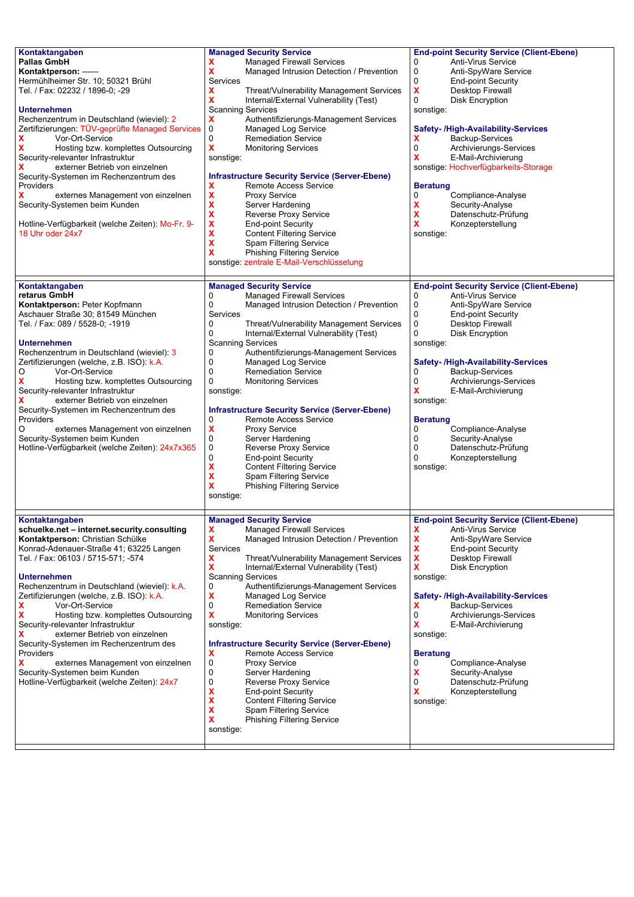| Kontaktangaben<br><b>Pallas GmbH</b><br>Kontaktperson: ------<br>Hermühlheimer Str. 10; 50321 Brühl<br>Tel. / Fax: 02232 / 1896-0; -29<br><b>Unternehmen</b><br>Rechenzentrum in Deutschland (wieviel): 2<br>Zertifizierungen: TÜV-geprüfte Managed Services<br>x<br>Vor-Ort-Service<br>Hosting bzw. komplettes Outsourcing<br>Security-relevanter Infrastruktur<br>externer Betrieb von einzelnen<br>Security-Systemen im Rechenzentrum des<br>Providers<br>externes Management von einzelnen<br>Security-Systemen beim Kunden<br>Hotline-Verfügbarkeit (welche Zeiten): Mo-Fr. 9-<br>18 Uhr oder 24x7                           | <b>Managed Security Service</b><br><b>Managed Firewall Services</b><br>x<br>X<br>Managed Intrusion Detection / Prevention<br>Services<br>Threat/Vulnerability Management Services<br>X<br>X<br>Internal/External Vulnerability (Test)<br><b>Scanning Services</b><br>Authentifizierungs-Management Services<br>X<br>0<br>Managed Log Service<br>0<br><b>Remediation Service</b><br>$\boldsymbol{\mathsf{x}}$<br><b>Monitoring Services</b><br>sonstige:<br><b>Infrastructure Security Service (Server-Ebene)</b><br><b>Remote Access Service</b><br>x<br>X<br><b>Proxy Service</b><br>$\boldsymbol{\mathsf{x}}$<br>Server Hardening<br>$\boldsymbol{\mathsf{x}}$<br>Reverse Proxy Service<br>X<br><b>End-point Security</b><br>X<br><b>Content Filtering Service</b><br>X<br>Spam Filtering Service<br>X<br><b>Phishing Filtering Service</b><br>sonstige: zentrale E-Mail-Verschlüsselung | <b>End-point Security Service (Client-Ebene)</b><br>Anti-Virus Service<br>0<br>0<br>Anti-SpyWare Service<br>0<br><b>End-point Security</b><br>X<br>Desktop Firewall<br>0<br><b>Disk Encryption</b><br>sonstige:<br><b>Safety-/High-Availability-Services</b><br>Backup-Services<br>x<br>0<br>Archivierungs-Services<br>x<br>E-Mail-Archivierung<br>sonstige: Hochverfügbarkeits-Storage<br><b>Beratung</b><br>Compliance-Analyse<br>0<br>X<br>Security-Analyse<br>X<br>Datenschutz-Prüfung<br>x<br>Konzepterstellung<br>sonstige: |
|-----------------------------------------------------------------------------------------------------------------------------------------------------------------------------------------------------------------------------------------------------------------------------------------------------------------------------------------------------------------------------------------------------------------------------------------------------------------------------------------------------------------------------------------------------------------------------------------------------------------------------------|--------------------------------------------------------------------------------------------------------------------------------------------------------------------------------------------------------------------------------------------------------------------------------------------------------------------------------------------------------------------------------------------------------------------------------------------------------------------------------------------------------------------------------------------------------------------------------------------------------------------------------------------------------------------------------------------------------------------------------------------------------------------------------------------------------------------------------------------------------------------------------------------|-----------------------------------------------------------------------------------------------------------------------------------------------------------------------------------------------------------------------------------------------------------------------------------------------------------------------------------------------------------------------------------------------------------------------------------------------------------------------------------------------------------------------------------|
| Kontaktangaben<br>retarus GmbH<br>Kontaktperson: Peter Kopfmann<br>Aschauer Straße 30; 81549 München<br>Tel. / Fax: 089 / 5528-0; -1919<br><b>Unternehmen</b><br>Rechenzentrum in Deutschland (wieviel): 3<br>Zertifizierungen (welche, z.B. ISO): k.A.<br>O<br>Vor-Ort-Service<br>Hosting bzw. komplettes Outsourcing<br>Security-relevanter Infrastruktur<br>externer Betrieb von einzelnen<br>Security-Systemen im Rechenzentrum des<br>Providers<br>O<br>externes Management von einzelnen<br>Security-Systemen beim Kunden<br>Hotline-Verfügbarkeit (welche Zeiten): 24x7x365                                                | <b>Managed Security Service</b><br>0<br><b>Managed Firewall Services</b><br>0<br>Managed Intrusion Detection / Prevention<br>Services<br>0<br>Threat/Vulnerability Management Services<br>0<br>Internal/External Vulnerability (Test)<br><b>Scanning Services</b><br>Authentifizierungs-Management Services<br>0<br>0<br>Managed Log Service<br>0<br><b>Remediation Service</b><br>0<br><b>Monitoring Services</b><br>sonstige:<br><b>Infrastructure Security Service (Server-Ebene)</b><br>0<br>Remote Access Service<br>$\pmb{\mathsf{X}}$<br><b>Proxy Service</b><br>0<br>Server Hardening<br>0<br>Reverse Proxy Service<br>0<br><b>End-point Security</b><br>X<br><b>Content Filtering Service</b><br>X<br>Spam Filtering Service<br>X<br><b>Phishing Filtering Service</b><br>sonstige:                                                                                               | <b>End-point Security Service (Client-Ebene)</b><br><b>Anti-Virus Service</b><br>0<br>0<br>Anti-SpyWare Service<br>0<br><b>End-point Security</b><br>0<br>Desktop Firewall<br>0<br><b>Disk Encryption</b><br>sonstige:<br><b>Safety-/High-Availability-Services</b><br>Backup-Services<br>0<br>0<br>Archivierungs-Services<br>x<br>E-Mail-Archivierung<br>sonstige:<br><b>Beratung</b><br>Compliance-Analyse<br>0<br>0<br>Security-Analyse<br>0<br>Datenschutz-Prüfung<br>0<br>Konzepterstellung<br>sonstige:                     |
| Kontaktangaben<br>schuelke.net - internet.security.consulting<br>Kontaktperson: Christian Schülke<br>Konrad-Adenauer-Straße 41; 63225 Langen<br>Tel. / Fax: 06103 / 5715-571; -574<br><b>Unternehmen</b><br>Rechenzentrum in Deutschland (wieviel): k.A.<br>Zertifizierungen (welche, z.B. ISO): k.A.<br>x<br>Vor-Ort-Service<br>x<br>Hosting bzw. komplettes Outsourcing<br>Security-relevanter Infrastruktur<br>externer Betrieb von einzelnen<br>Security-Systemen im Rechenzentrum des<br>Providers<br>x<br>externes Management von einzelnen<br>Security-Systemen beim Kunden<br>Hotline-Verfügbarkeit (welche Zeiten): 24x7 | <b>Managed Security Service</b><br>$\pmb{\mathsf{X}}$<br><b>Managed Firewall Services</b><br>X<br>Managed Intrusion Detection / Prevention<br>Services<br>x<br>Threat/Vulnerability Management Services<br>x<br>Internal/External Vulnerability (Test)<br><b>Scanning Services</b><br>0<br>Authentifizierungs-Management Services<br>X<br>Managed Log Service<br><b>Remediation Service</b><br>0<br>X<br><b>Monitoring Services</b><br>sonstige:<br><b>Infrastructure Security Service (Server-Ebene)</b><br><b>Remote Access Service</b><br>X<br>0<br>Proxy Service<br>0<br>Server Hardening<br>0<br><b>Reverse Proxy Service</b><br>x<br><b>End-point Security</b><br>X<br><b>Content Filtering Service</b><br>X<br>Spam Filtering Service<br>X<br><b>Phishing Filtering Service</b><br>sonstige:                                                                                        | <b>End-point Security Service (Client-Ebene)</b><br>X<br>Anti-Virus Service<br>X<br>Anti-SpyWare Service<br>X<br><b>End-point Security</b><br>X<br>Desktop Firewall<br>x<br>Disk Encryption<br>sonstige:<br>Safety- /High-Availability-Services<br>Backup-Services<br>x<br>0<br>Archivierungs-Services<br>x<br>E-Mail-Archivierung<br>sonstige:<br><b>Beratung</b><br>Compliance-Analyse<br>0<br>x<br>Security-Analyse<br>0<br>Datenschutz-Prüfung<br>X<br>Konzepterstellung<br>sonstige:                                         |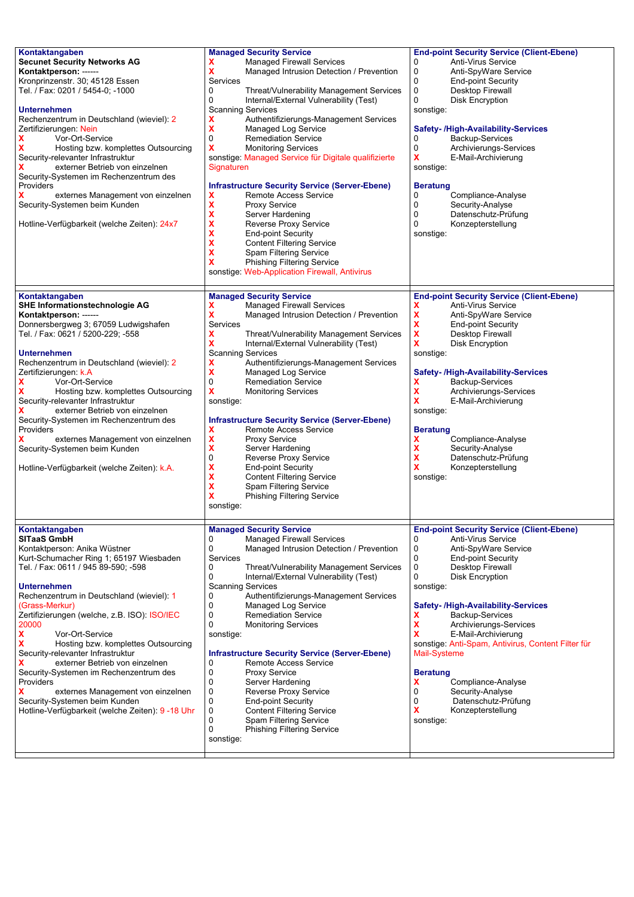| Kontaktangaben<br><b>Secunet Security Networks AG</b><br>Kontaktperson: ------<br>Kronprinzenstr. 30; 45128 Essen<br>Tel. / Fax: 0201 / 5454-0; -1000<br><b>Unternehmen</b><br>Rechenzentrum in Deutschland (wieviel): 2<br>Zertifizierungen: Nein<br>x<br>Vor-Ort-Service<br>Hosting bzw. komplettes Outsourcing<br>Security-relevanter Infrastruktur<br>externer Betrieb von einzelnen<br>Security-Systemen im Rechenzentrum des<br>Providers<br>x<br>externes Management von einzelnen<br>Security-Systemen beim Kunden<br>Hotline-Verfügbarkeit (welche Zeiten): 24x7                                                                  | <b>Managed Security Service</b><br>x<br><b>Managed Firewall Services</b><br>X<br>Managed Intrusion Detection / Prevention<br>Services<br>Threat/Vulnerability Management Services<br>0<br>0<br>Internal/External Vulnerability (Test)<br><b>Scanning Services</b><br>X<br>Authentifizierungs-Management Services<br>X<br>Managed Log Service<br>0<br><b>Remediation Service</b><br>X<br><b>Monitoring Services</b><br>sonstige: Managed Service für Digitale qualifizierte<br>Signaturen<br><b>Infrastructure Security Service (Server-Ebene)</b><br>X<br>Remote Access Service<br>$\mathbf x$<br><b>Proxy Service</b><br>X<br>Server Hardening<br>X<br>Reverse Proxy Service<br>X<br><b>End-point Security</b><br>X<br><b>Content Filtering Service</b><br>X<br>Spam Filtering Service<br>x<br><b>Phishing Filtering Service</b><br>sonstige: Web-Application Firewall, Antivirus | <b>End-point Security Service (Client-Ebene)</b><br>Anti-Virus Service<br>0<br>0<br>Anti-SpyWare Service<br>0<br><b>End-point Security</b><br>0<br>Desktop Firewall<br>0<br><b>Disk Encryption</b><br>sonstige:<br><b>Safety-/High-Availability-Services</b><br>Backup-Services<br>0<br>0<br>Archivierungs-Services<br>x<br>E-Mail-Archivierung<br>sonstige:<br><b>Beratung</b><br>Compliance-Analyse<br>0<br>0<br>Security-Analyse<br>0<br>Datenschutz-Prüfung<br>0<br>Konzepterstellung<br>sonstige:                                                           |
|--------------------------------------------------------------------------------------------------------------------------------------------------------------------------------------------------------------------------------------------------------------------------------------------------------------------------------------------------------------------------------------------------------------------------------------------------------------------------------------------------------------------------------------------------------------------------------------------------------------------------------------------|------------------------------------------------------------------------------------------------------------------------------------------------------------------------------------------------------------------------------------------------------------------------------------------------------------------------------------------------------------------------------------------------------------------------------------------------------------------------------------------------------------------------------------------------------------------------------------------------------------------------------------------------------------------------------------------------------------------------------------------------------------------------------------------------------------------------------------------------------------------------------------|------------------------------------------------------------------------------------------------------------------------------------------------------------------------------------------------------------------------------------------------------------------------------------------------------------------------------------------------------------------------------------------------------------------------------------------------------------------------------------------------------------------------------------------------------------------|
| Kontaktangaben<br>SHE Informationstechnologie AG<br>Kontaktperson: ------<br>Donnersbergweg 3; 67059 Ludwigshafen<br>Tel. / Fax: 0621 / 5200-229; -558<br><b>Unternehmen</b><br>Rechenzentrum in Deutschland (wieviel): 2<br>Zertifizierungen: k.A<br>x<br>Vor-Ort-Service<br>Hosting bzw. komplettes Outsourcing<br>х<br>Security-relevanter Infrastruktur<br>externer Betrieb von einzelnen<br>Security-Systemen im Rechenzentrum des<br>Providers<br>externes Management von einzelnen<br>Security-Systemen beim Kunden<br>Hotline-Verfügbarkeit (welche Zeiten): k.A.                                                                  | <b>Managed Security Service</b><br><b>Managed Firewall Services</b><br>x<br>X<br>Managed Intrusion Detection / Prevention<br><b>Services</b><br>X<br>Threat/Vulnerability Management Services<br>X<br>Internal/External Vulnerability (Test)<br><b>Scanning Services</b><br>X<br>Authentifizierungs-Management Services<br>X<br>Managed Log Service<br>0<br><b>Remediation Service</b><br>X<br><b>Monitoring Services</b><br>sonstige:<br><b>Infrastructure Security Service (Server-Ebene)</b><br>X<br><b>Remote Access Service</b><br>$\boldsymbol{\mathsf{x}}$<br><b>Proxy Service</b><br>$\pmb{\mathsf{x}}$<br>Server Hardening<br>0<br><b>Reverse Proxy Service</b><br>X<br><b>End-point Security</b><br>X<br><b>Content Filtering Service</b><br>X<br>Spam Filtering Service<br>x<br><b>Phishing Filtering Service</b><br>sonstige:                                          | <b>End-point Security Service (Client-Ebene)</b><br>Anti-Virus Service<br>x<br>X<br>Anti-SpyWare Service<br>X<br><b>End-point Security</b><br>X<br>Desktop Firewall<br>X<br><b>Disk Encryption</b><br>sonstige:<br><b>Safety-/High-Availability-Services</b><br>Backup-Services<br>X<br>X<br>Archivierungs-Services<br>x<br>E-Mail-Archivierung<br>sonstige:<br><b>Beratung</b><br>X<br>Compliance-Analyse<br>X<br>Security-Analyse<br>X<br>Datenschutz-Prüfung<br>X<br>Konzepterstellung<br>sonstige:                                                           |
| Kontaktangaben<br><b>SITaaS GmbH</b><br>Kontaktperson: Anika Wüstner<br>Kurt-Schumacher Ring 1; 65197 Wiesbaden<br>Tel. / Fax: 0611 / 945 89-590; -598<br><b>Unternehmen</b><br>Rechenzentrum in Deutschland (wieviel): 1<br>(Grass-Merkur)<br>Zertifizierungen (welche, z.B. ISO): ISO/IEC<br>20000<br>x<br>Vor-Ort-Service<br>x<br>Hosting bzw. komplettes Outsourcing<br>Security-relevanter Infrastruktur<br>x<br>externer Betrieb von einzelnen<br>Security-Systemen im Rechenzentrum des<br>Providers<br>x<br>externes Management von einzelnen<br>Security-Systemen beim Kunden<br>Hotline-Verfügbarkeit (welche Zeiten): 9 -18 Uhr | <b>Managed Security Service</b><br>0<br><b>Managed Firewall Services</b><br>Managed Intrusion Detection / Prevention<br>0<br>Services<br>0<br>Threat/Vulnerability Management Services<br>0<br>Internal/External Vulnerability (Test)<br><b>Scanning Services</b><br>0<br>Authentifizierungs-Management Services<br>0<br>Managed Log Service<br>0<br><b>Remediation Service</b><br>0<br><b>Monitoring Services</b><br>sonstige:<br><b>Infrastructure Security Service (Server-Ebene)</b><br>0<br>Remote Access Service<br>0<br><b>Proxy Service</b><br>0<br>Server Hardening<br>0<br>Reverse Proxy Service<br>0<br><b>End-point Security</b><br>0<br><b>Content Filtering Service</b><br>0<br>Spam Filtering Service<br>0<br><b>Phishing Filtering Service</b><br>sonstige:                                                                                                        | <b>End-point Security Service (Client-Ebene)</b><br>0<br>Anti-Virus Service<br>Anti-SpyWare Service<br>0<br>0<br><b>End-point Security</b><br>0<br><b>Desktop Firewall</b><br>0<br><b>Disk Encryption</b><br>sonstige:<br>Safety- /High-Availability-Services<br>x<br>Backup-Services<br>X<br>Archivierungs-Services<br>x<br>E-Mail-Archivierung<br>sonstige: Anti-Spam, Antivirus, Content Filter für<br>Mail-Systeme<br><b>Beratung</b><br>X<br>Compliance-Analyse<br>0<br>Security-Analyse<br>0<br>Datenschutz-Prüfung<br>x<br>Konzepterstellung<br>sonstige: |